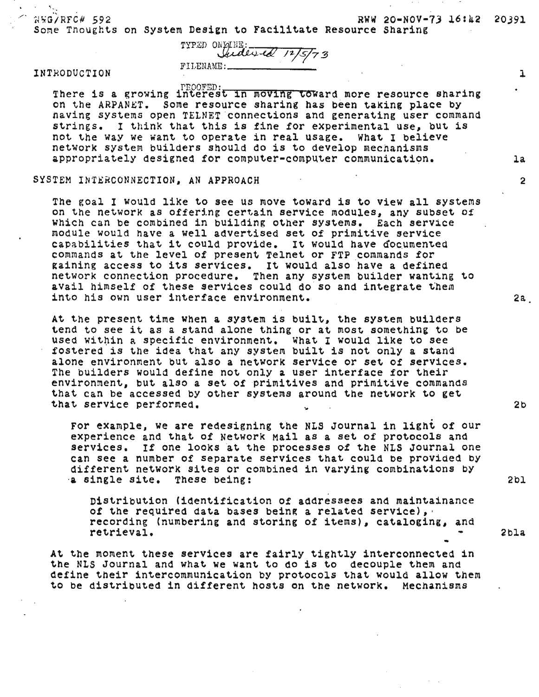$NNG/RFC# 592$  RWW 20-NOV-73 16:42 20391 Some Thoughts on System Design to Facilitate Resource Sharing

TYPED ON ALLE:<br>*Ludlied 12/5/73*<br>FILENAME:

## INTRODUCTION 1

. PROOFED:<br>There is a growing interest in moving toward more resource sharing<br>on the ARPANET. Some resource sharing has been taking place by having systems open TELNET connections and generating user command strings. I think that this is fine for experimental use, but is not the way we want to operate in real usage. What I believe network system builders should do is to develop mechanisms appropriately designed for computer-computer communication. la

## SYSTEM INTERCONNECTION. AN APPROACH 2

The goal I would like to see us move toward 1s to view all systems on the networK as offering certain service mOdules, any SUbset Of Which can be combined in building other systems. Each service module would have a well advertised set of primitive service capabilities that it could provide. It would have documented commands at the level of present Telnet or FTP commands for raining access to its services. It would also have a defined network connection procedure. Then any system builder wanting to avail himself of these services could do so and integrate them into his own user interface environment. 22.

At the present time when a system is built, the system builders tend to see it as a stand alone thing or at most something to be used within a specific environment. What I would like to see fostered is the idea that any system built is not only a stand alone enVironment but also a network service or set of services. The builders would define not only a user interface for their environment, but also a set of primitives and primitive commands that can be accessed by other systems around the network to get<br>that service performed. ~hat service performed. 2b '. For example, we are redesigning the NLS Journal in light of our

experience and that of Network Mail as a set of protocols and services. If one looks at the processes of the NLS Journal one can see a number of separate services that could be provided by different network sites or combined in varying combinations by ''<br>a single site. These being: 2bl

Distribution (identification of addressees and maintainance of the required data bases being a related service), recording (numbering and storing of items), cataloging, and retrieval. 2bla •

At the moment these services are fairly tightly interconnected in the NLS Journal and what we want to do is to decouple them and define their intercommunication by protocols that would allow them to be distributed in different hosts on the network. Mechanisms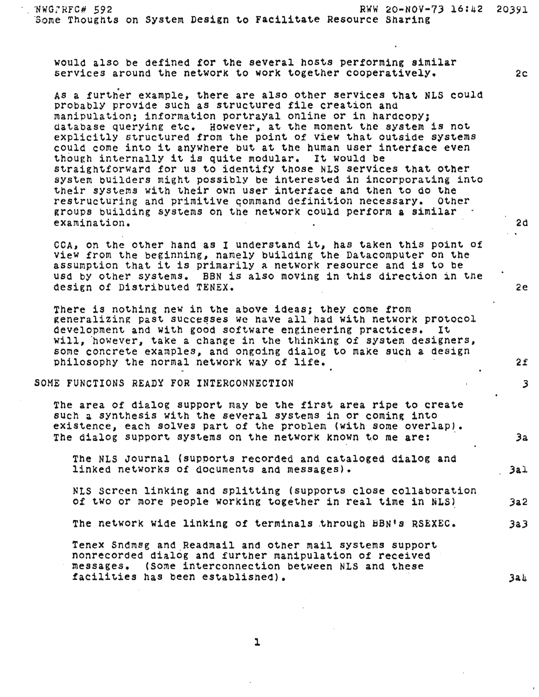· . ~WG :RFC# 592 RWW 20-NOV-73 16:42 20391 Bome Thoughts on System Design to Facilitate Resource Sharing

would also be defined for the several hosts performing similar services around the network to work together cooperatively. 2c

As a further example, there are also other services that NLS cOUld probablY provide such as structured file creation and manipulation; information portrayal online or in hardcopy; database querying etc. However, at the moment the system is not explicitly structured from the point Of view that outside systems could come into it anywhere but at the human user interface even though internallY it is quite modular. It would be straightforWard for us to identify those NLS services that other system builders might possibly be interested in incorporating into their systems with their own user interface and then to do the restructuring and primitive command definition necessary. Other groups building systems on the network could perform a similar examination. 2d

COA, on the other hand as I understand it, has taken this point of View from the beginning, namely building the Datacomputer on the assumption that it is primarily a network resource and is to be usa bY other systems. BBN is also moving in this direction in the design of Distributed TENEX. 2e

There is nothing new in the above ideas; they come from generalizing past successes we have all had with network protocol development and With gOOd software engineering practices. It Will, 'however, take a change in the thinking of system designers, some concrete examples, and ongoing dialog to make such a design philosophy the normal network way of life.  $2f$ 

SOME FUNCTIONS READY FOR INTERCONNECTION **3** 

The area Of dialog support may be the first area ripe to create such a synthesis With the several systems in or coming into existence, each solves part of the prOblem (With some overlap). The dialog support systems on the network known to me are: 3a

The NLS Journal (supports recorded and cataloged dialog and linked networks of documents and messages). The same states of  $3a1$ 

NLS Screen linking and splitting (supports close collaboration of two or more people working together in real time in NLS) 3a2

The network wide linking of terminals through BBN's RSEXEC. 3a3

Tenex Sndmsg and Readmail and other mail systems support nonrecorded dialog and further manipUlation of received messages. (Some interconnection between NLS and these facilities has been established).  $3a\mu$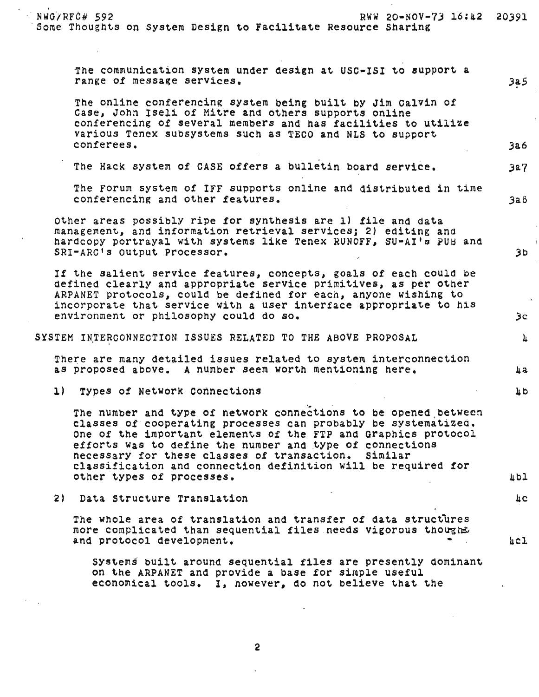.' NWOjRFO# 592 RWW 20-NOV-7J 16:42 20391 Some Thoughts on System Design to Facilitate Resource Sharing

The communication system under design at USC-ISI to support a range of message services. The services of  $3a5$ The online conferencing system being built by Jim Calvin of Case, John Iseli of Mitre and others supports online conferencing of several members and has facilities to utilize various Tenex subsystems such as TECO and NLS to support conferees. 3a6 The Hack system of CASE offers a bulletin board service. 3a7 The Forum system of IFF supports online and distributed in time conferencing and other features. *3aB*  other areas possiblY ripe for synthesis are 1) file and data management, and information retrieval services; 2) editing and hardcopy portrayal with systems like Tenex RUNOFF, SU-AI's PUB and SRI-ARC's output Processor. 3b If the salient service features, concepts, goals of each could be defined clearly and appropriate serVice primitives, as per other ARPANET protocolS, could be defined for each, anyone wishing to incorporate that serVice with a user interface appropriate to his environment or philosophy could do so. 3c SYSTEM INTERCONNECTION ISSUES RELATED TO THE ABOVE PROPOSAL  $4\,$ There are many detailed issues related to system interconnection as proposed above. A number seem worth mentioning here.  $\qquad \qquad \text{a}$ 1) Types of Network Connections 4b and 4b and 4b and 4b and 4b and 4b and 4b and 4b and 4b and 4b and 4b and 4b and 4b and 4b and 4b and 4b and 4b and 4b and 4b and 4b and 4b and 4b and 4b and 4b and 4b and 4b and 4b and 4 . The number and type of network connections to be opened between classes Of cooperating processes can probably be systematizea. One of the important elements of the FTP and Graphics protocol efforts was to define the number and type of connections necesSary for these classes of transaction. similar classification and connection definition will be required for other types of processes. 4bl 2) Data Structure Translation 4c The whole area of translation and transfer of data structures more complicated than sequential files needs vigorous thought and protocol development. And the set of the set of the set of the set of the set of the set of the set of the set of the set of the set of the set of the set of the set of the set of the set of the set of the set of the s Systems built around sequential files are presentlY dominant on the ARPANET and provide a base for simple useful economical tools. I. however, do not believe that the

2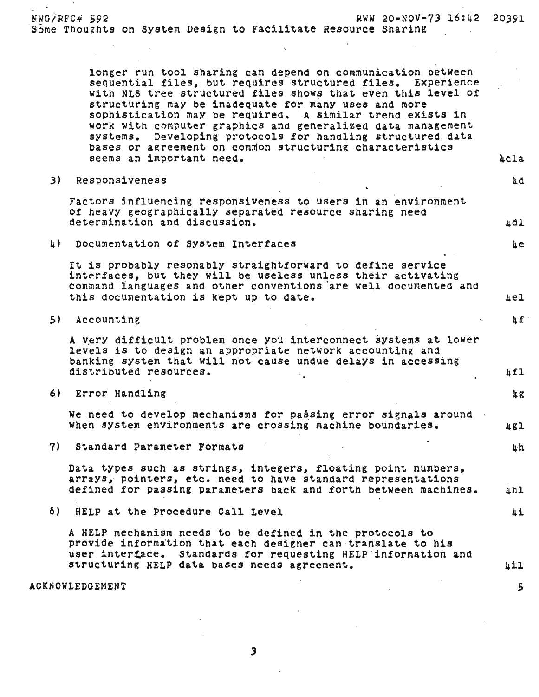NWG/RFC# 592 RWW 20-NOV M73 16:42 20391 *Some* ThoUghts on System Design to Facilitate Resource Sharing

> longer run tool sharing can depend on communication between<br>sequential files, but requires structured files. Experience with NLS tree structured files shows that even this level of structuring may be inadequate for many uses and more sophistication may be required. A similar trend exists' in work with computer graphics and generalized data management systems. Developing protocols for handling structured data bases or agreement on common structuring characteristics seems an important need. Acla and the seems are seen as a second and the second second and the second second second second second second second second second second second second second second second second second second s

πq

3) Responsiveness

Factors influencing responsiveness to Users in an environment of heavy geographically separated resource sharing need determination and discussion.  $\mathbf{A}$ 

h) Documentation of System Interfaces 4.1 and 200 million and 4.4 and 4.4 and 4.4 and 4.4 and 4.4 and 4.4 and 4.4 and 4.4 and 4.4 and 4.4 and 4.4 and 4.4 and 4.4 and 4.4 and 4.4 and 4.4 and 4.4 and 4.4 and 4.4 and 4.4 and

It is probably resonably straightforward to define service interfaces, but they will be useless unless their activating command languages and other conventions are well documented and this documentation is kept up to date. A set of the set of the set of the set of the set of the set of the set o

 $5)$  Accounting  $\mathfrak{g}^2$ 

A very difficult problem once you interconnect systems at lower levels is to design an appropriate network accounting and banking system that will not cause undue delays in accessing<br>distributed resources.

6) Error Handling

We need to develop mechanisms for passing error signals around When system environments are crossing machine boundaries.  $\mu$ gl

7) standard Parameter Formats 4h

Data types such as strings, integers, floating point numbers, arrays,' pointers, etc. need to have standard representations defined for passing parameters back and forth between machines. 4hl

8) HELP at the procedure Call Level 4i

A HELP mechanism needs to be defined in the protocols to provide information that eaCh designer can translate to his user interface. Standards for requesting HELP information and structuring HELP data bases needs agreement. And the manufacturing the state of the state of the state of the s

ACKNOWLEDGEMENT

3

5

 $\mu$ g